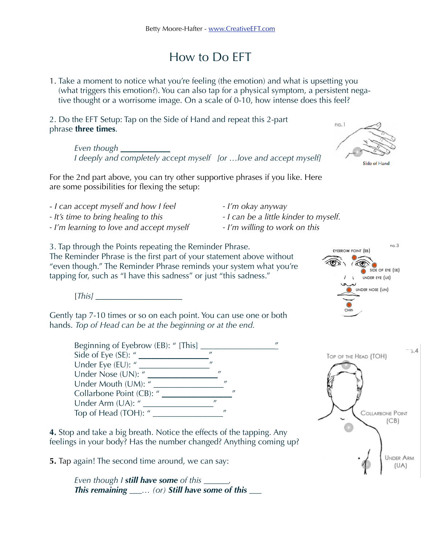## How to Do EFT

1. Take a moment to notice what you're feeling (the emotion) and what is upsetting you (what triggers this emotion?). You can also tap for a physical symptom, a persistent negative thought or a worrisome image. On a scale of 0-10, how intense does this feel?

2. Do the EFT Setup: Tap on the Side of Hand and repeat this 2-part phrase **three times**.

> *Even though \_\_\_\_\_\_\_\_\_\_\_\_ I deeply and completely accept myself [or …love and accept myself]*

For the 2nd part above, you can try other supportive phrases if you like. Here are some possibilities for flexing the setup:

- *I can accept myself and how I feel I'm okay anyway*
- *It's time to bring healing to this I can be a little kinder to myself.*
- *I'm learning to love and accept myself I'm willing to work on this*
- 
- -

3. Tap through the Points repeating the Reminder Phrase. The Reminder Phrase is the first part of your statement above without "even though." The Reminder Phrase reminds your system what you're tapping for, such as "I have this sadness" or just "this sadness."

[*This] \_\_\_\_\_\_\_\_\_\_\_\_\_\_\_\_\_\_\_\_\_*

Gently tap 7-10 times or so on each point. You can use one or both hands. *Top of Head can be at the beginning or at the end.*

> Beginning of Eyebrow (EB): " [This] \_\_\_\_\_\_\_\_\_\_\_\_\_\_\_\_\_\_" Side of Eye (SE): " \_\_\_\_\_\_\_\_\_\_\_\_\_\_\_\_\_" Under Eye (EU): " \_\_\_\_\_\_\_\_\_\_\_\_\_\_\_\_\_" Under Nose (UN): " \_\_\_\_\_\_\_\_\_\_\_\_\_\_\_\_\_" Under Mouth (UM): " Collarbone Point (CB): " Under Arm (UA): " \_\_\_\_\_\_\_\_\_\_\_\_\_\_\_\_\_" Top of Head (TOH): "

**4.** Stop and take a big breath. Notice the effects of the tapping. Any feelings in your body? Has the number changed? Anything coming up?

**5.** Tap again! The second time around, we can say:

*Even though I still have some of this \_\_\_\_\_\_, This remaining \_\_\_… (or) Still have some of this \_\_\_*